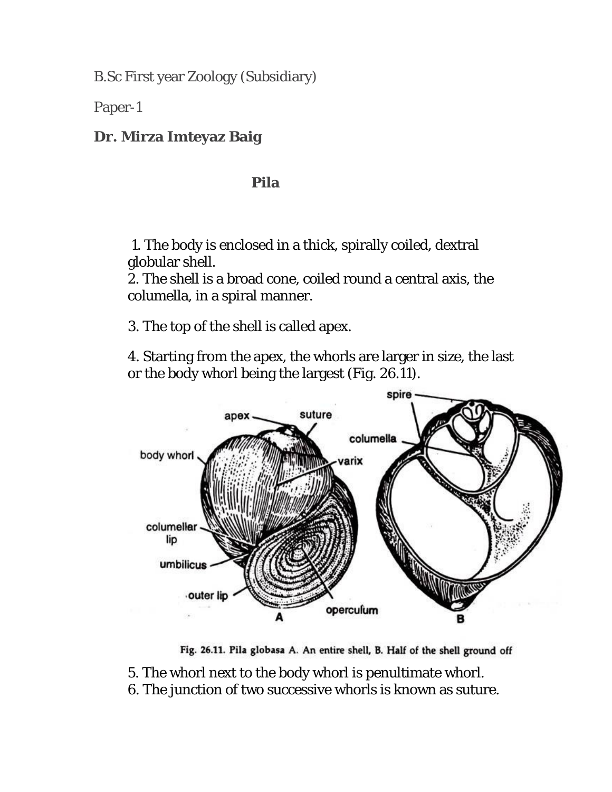B.Sc First year Zoology (Subsidiary)

Paper-1

## **Dr. Mirza Imteyaz Baig**

## **Pila**

 1. The body is enclosed in a thick, spirally coiled, dextral globular shell.

2. The shell is a broad cone, coiled round a central axis, the columella, in a spiral manner.

3. The top of the shell is called apex.

4. Starting from the apex, the whorls are larger in size, the last or the body whorl being the largest (Fig. 26.11).



Fig. 26.11. Pila globasa A. An entire shell, B. Half of the shell ground off

- 5. The whorl next to the body whorl is penultimate whorl.
- 6. The junction of two successive whorls is known as suture.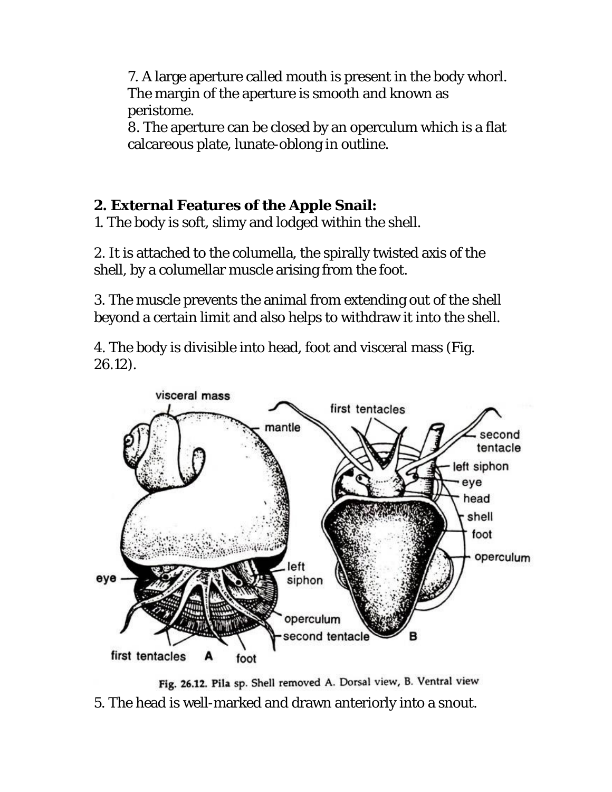7. A large aperture called mouth is present in the body whorl. The margin of the aperture is smooth and known as peristome.

8. The aperture can be closed by an operculum which is a flat calcareous plate, lunate-oblong in outline.

## **2. External Features of the Apple Snail:**

1. The body is soft, slimy and lodged within the shell.

2. It is attached to the columella, the spirally twisted axis of the shell, by a columellar muscle arising from the foot.

3. The muscle prevents the animal from extending out of the shell beyond a certain limit and also helps to withdraw it into the shell.

4. The body is divisible into head, foot and visceral mass (Fig. 26.12).



Fig. 26.12. Pila sp. Shell removed A. Dorsal view, B. Ventral view 5. The head is well-marked and drawn anteriorly into a snout.